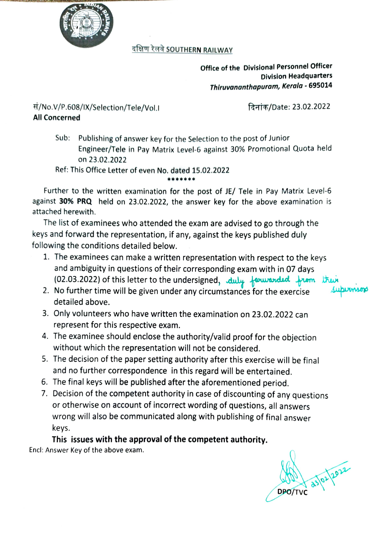

## दक्षिण रेलवे SOUTHERN RAILWAY

Office of the Divisional Personnel Officer Division Headquarters Thiruvananthapuram, Kerala - 695014

स/No.V/P.608/IX/Selection/Tele/Vol.I and the state: 23.02.2022 All Concerned

Sub: Publishing of answer key for the Selection to the post of Junior Engineer/Tele in Pay Matrix Level-6 against 30% Promotional Quota held on 23.02.2022

## Ref: This Office Letter of even No. dated 15.02.2022

Further to the written examination for the post of JE/ Tele in Pay Matrix Level-6 against 30% PRQ held on 23.02.2022, the answer key for the above examination is attached herewith.

\*\*

The list of examinees who attended the exam are advised to go through the keys and forward the representation, if any, against the keys published duly following the conditions detailed below.

- 1. The examinees can make a written representation with respect to the keys and ambiguity in questions of their corresponding exam with in 07 days (02.03.2022) of this letter to the undersigned, duly forwarded from the
- 2. No further time will be given under any circumstances for the exercise detailed above.
- Only volunteers who have written the examination on 23.02.2022 can represent for this respective exam.
- 4. The examinee should enclose the authority/valid proof for the objection without which the representation will not be considered.
- 5. The decision of the paper setting authority after this exercise will be final and no further correspondence in this regard will be entertained.
- 6. The final keys will be published after the aforementioned period.
- 7. Decision of the competent authority in case of discounting of any questions or otherwise on account of incorrect wording of questions, all answers wrong will also be communicated along with publishing of final answer keys.

## This issues with the approval of the competent authority.

Encl: Answer Key of the above exam.

asl02 2022 DPO/TVC